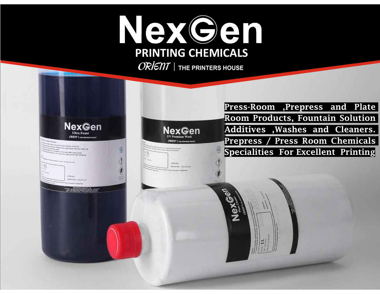# NexGen PRINTING CHEMICALS

 $ORIETI$  | THE PRINTERS HOUSE

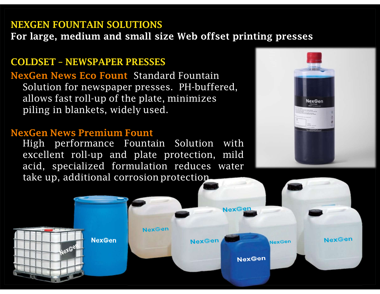NEXGEN FOUNTAIN SOLUTIONS<br>For large, medium and small size Web offset printir NEXGEN FOUNTAIN SOLUTIONS<br>For large, medium and small size Web offset printing presses<br>COLDSET - NEWSPAPER PRESSES

NEXGEN FOUNTAIN SOLUTIONS<br>For large, medium and small size Web offset printing p:<br>COLDSET – NEWSPAPER PRESSES<br>NexGen News Eco Fount Standard Fountain<br>Solution for newspaper presses. PH-buffered, NexGen News Eco Fount Standard Fountain Solution for newspaper presses. PH-buffered, EXGEN FOUNTAIN SOLUTIONS<br>
r large, medium and small size Web offset printing presses<br>
DLDSET - NEWSPAPER PRESSES<br>
Solution for newspaper presses. PH-buffered,<br>
allows fast roll-up of the plate, minimizes<br>
piling in blanket **EXGEN FOUNTAIN SOLUTIONS<br>
F large, medium and small size Web offset printing press<br>
DLDSET - NEWSPAPER PRESSES<br>
XGen News Eco Fount Standard Fountain<br>
Solution for newspaper presses. PH-buffered,<br>
allows fast roll-up of t** NEXGEN FOUNTAIN SOLUTIONS<br>
For large, medium and small size Web offset printing p<br>
COLDSET - NEWSPAPER PRESSES<br>
NexGen News Eco Fount Standard Fountain<br>
Solution for newspaper presses. PH-buffered,<br>
allows fast roll-up of

THE TRESS TO THE SURVEY OF THE SERIES TO NOTE OF THE SOLUTION OF THE SOLUTION SOLUTION OF THE SOLUTION OF THE SOLUTION OF THE SOLUTION OF THE SOLUTION OF THE SOLUTION PROTECTION PROTECTION. THE SOLUTION PROTECTION PROTECTI



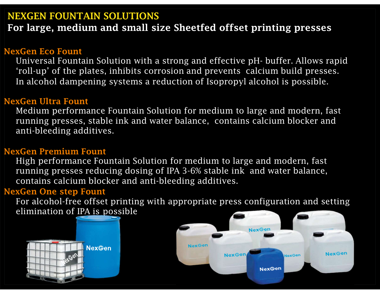NEXGEN FOUNTAIN SOLUTIONS<br>For large, medium and small size Sheetfed offset pr NEXGEN FOUNTAIN SOLUTIONS<br>For large, medium and small size Sheetfed offset printing presses<br>JexGen Eco Fount

# NexGen Eco Fount

EXGEN FOUNTAIN SOLUTIONS<br>Dr large, medium and small size Sheetfed offset printing presses<br>Winiversal Fountain Solution with a strong and effective pH- buffer. Allows rapid<br>'roll-up' of the plates, inhibits corrosion and pr **EXGEN FOUNTAIN SOLUTIONS**<br> **EXGEN FOUNTAIN SOLUTIONS**<br> **EXGENT DEAT SECO FOUNT**<br> **EXGENT DEAT SUPPER SUPPER SUPPER SUPPER SUPPER SUPPER SUPPER SUPPER SUPPER SUPPER SUPPER SUPPER SUPPER SUPPER SUPPER SUPPER SUPPER SUPPER S EXGEN FOUNTAIN SOLUTIONS**<br> **Solution: The Solution and small size Sheetfed offset printing presses<br>
<u>WGen Eco Fount</u><br>
Universal Fountain Solution with a strong and effective pH- buffer. Allows rapid<br>
(roll-up' of the plat EXGEN FOUNTAIN SOLUTIONS**<br> **or large, medium and small size Sheetfed of:**<br> **xGen Eco Fount**<br>
Universal Fountain Solution with a strong and effec<br>
'roll-up' of the plates, inhibits corrosion and prever<br>
In alcohol dampenin For large, medium and small size Sheetfed offs<br>
NexGen Eco Fount<br>
Universal Fountain Solution with a strong and effective<br>
"roll-up" of the plates, inhibits corrosion and prevents<br>
In alcohol dampening systems a reduction Universal Fountain Solution with a strong and effective pH- buffer. Allows rapid<br>'roll-up' of the plates, inhibits corrosion and prevents calcium build presses.<br>In alcohol dampening systems a reduction of Isopropyl alcohol

# NexGen Ultra Fount

Medium performance Fountain Solution for medium to large and modern, fast running presses, stable ink and water balance, contains calcium blocker and

High performance Fountain Solution for medium to large and modern, fast running presses reducing dosing of IPA 3-6% stable ink and water balance, 'roll-up' of the plates, inhibits corrosion and prevents<br>In alcohol dampening systems a reduction of Isoprop<br>NexGen Ultra Fount<br>Medium performance Fountain Solution for medium<br>running presses, stable ink and water balance, Elian Medium performance Fountain Solution for medium to large<br>trunning presses, stable ink and water balance, contains ca<br>anti-bleeding additives.<br>We are premium Fount<br>High performance Fountain Solution for medium to larg

For alcohol-free offset printing with appropriate press configuration and setting



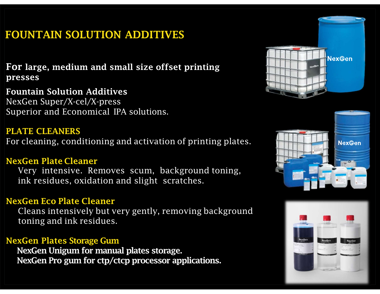# FOUNTAIN SOLUTION ADDITIVES

presses

**FOUNTAIN SOLUTION ADDITIVES<br>For large, medium and small size offset printing<br>presses<br>Fountain Solution Additives<br>NexGen Super/X-cel/X-press<br>Superior and Economical IPA solutions.** NexGen Super/X-cel/X-press FOUNTAIN SOLUTION ADDITIVES<br>
For large, medium and small size offset printing<br>
presses<br>
Fountain Solution Additives<br>
NexGen Super/X-cel/X-press<br>
Superior and Economical IPA solutions.<br>
PLATE CLEANERS<br>
For cleaning conditio **FOUNTAIN SOLUTION ADDITIVES**<br> **For large, medium and small size offset printing**<br> **presses**<br> **Fountain Solution Additives**<br>
NexGen Super/X-cel/X-press<br>
Superior and Economical IPA solutions.<br> **PLATE CLEANERS**<br>
For cleanin **r large, medium and small size offset printing<br>esses<br>untain Solution Additives<br>xGen Super/X-cel/X-press<br>perior and Economical IPA solutions.<br><b>ATE CLEANERS**<br>cleaning, conditioning and activation of printing plates.<br>**xGen P** presses<br>
Fountain Solution Additives<br>
NexGen Super/X-cel/X-press<br>
Superior and Economical IPA solutions.<br>
PLATE CLEANERS<br>
For cleaning, conditioning and activation of printing plat<br>
NexGen Plate Cleaner<br>
Very intensive. Re

## PLATE CLEANERS

xGen Super/X-cel/X-press<br>perior and Economical IPA solutions.<br>**ATE CLEANERS**<br>cleaning, conditioning and activation of printing pla<br>**xGen Plate Cleaner**<br>Very intensive. Removes scum, background toning<br>ink residues, oxidatio

**PLATE CLEANERS**<br>For cleaning, conditioning and activation of printing plates.<br>NexGen Plate Cleaner<br>Very intensive. Removes scum, background toning,<br>ink residues, oxidation and slight scratches.<br>NexGen Eco Plate Cleaner<br>Cl r cleaning, conditioning and activation of printing plates.<br> **ExCen Plate Cleaner**<br>
Very intensive. Removes scum, background toning,<br>
ink residues, oxidation and slight scratches.<br> **ExCen Eco Plate Cleaner**<br>
Cleans intensi

NexGen Unigum for manual plates storage.





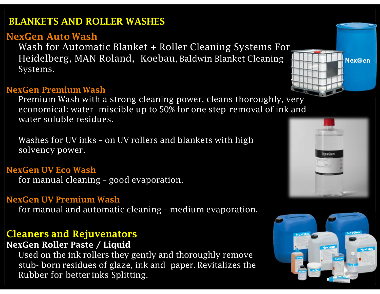# BLANKETS AND ROLLER WASHES

**BLANKETS AND ROLLER WASHES<br>NexGen Auto Wash<br>Wash for Automatic Blanket + Roller Cleaning<br>Heidelberg, MAN Roland, Koebau, Baldwin Blan** Wash for Automatic Blanket + Roller Cleaning Systems For ANKETS AND ROLLER WASHES<br>
Wash for Automatic Blanket + Roller Cleaning Systems For<br>
Heidelberg, MAN Roland, Koebau, Baldwin Blanket Cleaning<br>
Systems. Systems. **BLANKETS AND ROLLER WASHES<br>
NexGen Auto Wash<br>
Wash for Automatic Blanket + Roller Cleaning S<br>
Heidelberg, MAN Roland, Koebau, Baldwin Blanke<br>
Systems.<br>
NexGen Premium Wash<br>
Premium Wash with a strong cleaning power, clean EXAMELTS AND ROLLER WASHES<br>
Wash for Automatic Blanket + Roller Cleaning Systems For<br>
Heidelberg, MAN Roland, Koebau, Baldwin Blanket Cleaning<br>
Systems.<br>
Wash Wash with a strong cleaning power, cleans thoroughly, very<br>
Re** Example 19 We apple to 50% for one step removal of ink and<br>wash for Automatic Blanket + Roller Cleaning Systems For<br>Heidelberg, MAN Roland, Koebau, Baldwin Blanket Cleaning<br>Systems.<br>We apple up to 50% for one step removal **ANKETS AND ROLLER WASHES<br>
xGen Auto Wash<br>
Wash for Automatic Blanket + Roller Cleaning<br>
Heidelberg, MAN Roland, Koebau, Baldwin Blan<br>
Systems.<br>
xGen Premium Wash<br>
Premium Wash<br>
Premium Wash<br>
Premium Wash<br>
economical: wate ANKETS AND ROLLER WASHES**<br> **WASh for Automatic Blanket + Roller Cleaning Systems For**<br>
Heidelberg, MAN Roland, Koebau, Baldwin Blanket Cleaning<br> **Systems.**<br> **WASHERS AND ROLANDER AND ROLANDE SURVEY AND RESPONSIVE TO A New xGen Auto Wash**<br>Wash for Automatic Blanket + Roller Clear<br>Heidelberg, MAN Roland, Koebau, Baldwin<br>Systems.<br>**xGen Premium Wash**<br>Premium Wash<br>Premium Wash<br>Premium Wash<br>washes for UV inks - on UV rollers and blankets<br>solvenc Wash for Automatic Blanket + Roller Cleaning<br>Heidelberg, MAN Roland, Koebau, Baldwin Blar<br>Systems.<br>NexGen Premium Wash<br>Premium Wash<br>Premium Wash<br>Premium Wash<br>economical: water miscible up to 50% for one step<br>water soluble

Heidelberg, MAN Roland, Koebau, Baldwin Blanket Cleaning<br>Systems.<br>**xGen Premium Wash**<br>Premium Wash with a strong cleaning power, cleans thoroughly, v<br>economical: water miscible up to 50% for one step removal of ink<br>water s NexGen Premium Wash<br>
Premium Wash with a strong cleaning power, cleans thore<br>
economical: water miscible up to 50% for one step remov<br>
water soluble residues.<br>
Washes for UV inks - on UV rollers and blankets with high<br>
sol **Example 10 The manual and strong cleaning power, cleans thoroughly, very**<br>economical: water miscible up to 50% for one step removal of ink and<br>water soluble residues.<br>Washes for UV inks - on UV rollers and blankets with h

economical: water miscible up to 50% for one step<br>water soluble residues.<br>Washes for UV inks - on UV rollers and blankets with<br>solvency power.<br>NexGen UV Eco Wash<br>for manual cleaning - good evaporation.<br>NexGen UV Premium Wa

Washes for UV inks - on UV rollers and blankets with high<br>solvency power.<br>NexGen UV Eco Wash<br>for manual cleaning - good evaporation.<br>NexGen UV Premium Wash<br>for manual and automatic cleaning - medium evaporation<br>**Cleaners a** solvency power.<br> **xGen UV Eco Wash**<br>
for manual cleaning - good evaporation.<br> **xGen UV Premium Wash**<br>
for manual and automatic cleaning - medium evaporation.<br> **eaners and Rejuvenators**<br> **xGen Roller Paste / Liquid**<br>
Used o